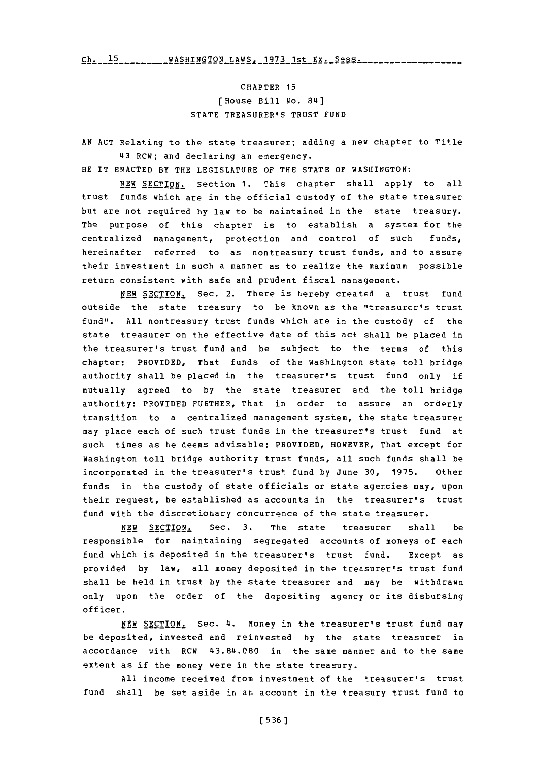**15-- -- --- -- -** WAHIGTN-AW--97-1t---e **Ch. 15** WASHIN912 LAE2z **1973** 1st **Ex.** Sess

CHAPTER **15** [ House Bill No. 84] **STATE** TREASURER'S TRUST **FUND**

**AN ACT** Relating to the state treasurer; adding a new chapter to Title '43 RCW; and declaring an emergency.

BE IT **ENACTED** BY THE LEGISLATURE OF THE **STATE** OF WASHINGTON:

**NEW** SECTION. Section **1.** This chapter shall apply to all trust funds which are in the official custody of the state treasurer but are not required **by** law to be maintained in the state treasury. The purpose of this chapter is to establish a system for the centralized management, protection and control of such funds, hereinafter referred to as nontreasury trust funds, and to assure their investment in such a manner as to realize the maximum possible return consistent with safe and prudent fiscal management.

**NEW** SECTION. Sec. 2. There is hereby created a trust fund outside the state treasury to be known as the "treasurer's trust fund". **All** nontreasury trust funds which are in the custody of the state treasurer on the effective date of this act shall be placed in the treasurer's trust fund and be subject to the terms of this chapter: PROVIDED, That funds of the Washington state toll bridge authority shall be placed in the treasurer's trust fund only if mutually agreed to **by** the state treasurer and the toll bridge authority: PROVIDED FURTHER, That in order to assure an orderly transition to a centralized management system, the state treasurer may place each of such trust funds in the treasurer's trust fund at such times as he deems advisable: PROVIDED, HOWEVER, That except for Washington toll bridge authority trust funds, all such funds shall be incorporated in the treasurer's trust fund **by** June **30, 1975.** Other funds in the custody of state officials or state agencies may, upon their request, be established as accounts in the treasurer's trust fund with the discretionary concurrence of the state treasurer.

**NEW** SECTION. Sec. **3.** The state treasurer shall be responsible for maintaining segregated accounts of moneys of each fund which is deposited in the treasurer's trust fund. Except as provided **by** law, all money deposited in the treasurer's trust fund shall be held in trust **by** the state treasurer and may be withdrawn only upon the order of the depositing agency or its disbursing officer.

NEW SECTION. Sec. 4. Money in the treasurer's trust fund may be deposited, invested and reinvested **by** the state treasurer in accordance with RCW 43.84.080 in the same manner and to the same extent as if the money were in the state treasury.

**All** income received from investment of the treasurer's trust fund shall be set aside in an account in the treasury trust fund to